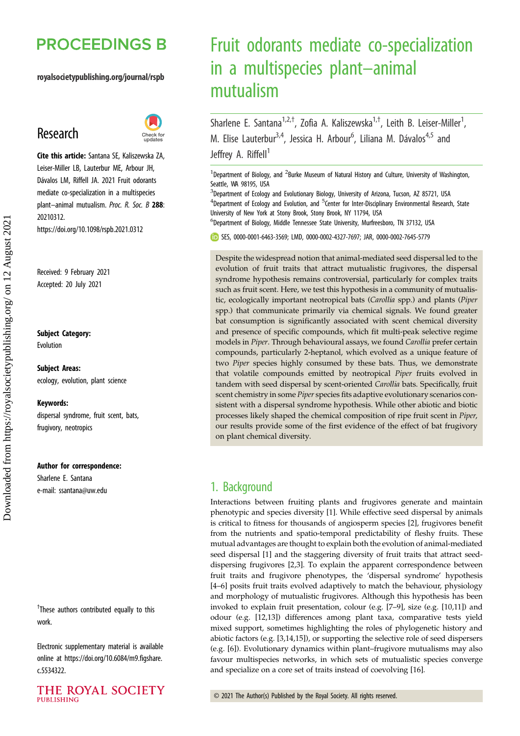## **PROCEEDINGS B**

royalsocietypublishing.org/journal/rspb

## Research



Cite this article: Santana SE, Kaliszewska ZA, Leiser-Miller LB, Lauterbur ME, Arbour JH, Dávalos LM, Riffell JA. 2021 Fruit odorants mediate co-specialization in a multispecies plant-animal mutualism. Proc. R. Soc. B 288: 20210312. https://doi.org/10.1098/rspb.2021.0312

Received: 9 February 2021 Accepted: 20 July 2021

#### Subject Category:

Evolution

Subject Areas: ecology, evolution, plant science

#### Keywords:

dispersal syndrome, fruit scent, bats, frugivory, neotropics

#### Author for correspondence:

Sharlene E. Santana e-mail: [ssantana@uw.edu](mailto:ssantana@uw.edu)

<sup>†</sup>These authors contributed equally to this work.

Electronic supplementary material is available online at [https://doi.org/10.6084/m9.figshare.](https://doi.org/10.6084/m9.figshare.c.5534322) [c.5534322.](https://doi.org/10.6084/m9.figshare.c.5534322)



# Fruit odorants mediate co-specialization in a multispecies plant–animal mutualism

Sharlene E. Santana<sup>1,2,†</sup>, Zofia A. Kaliszewska<sup>1,†</sup>, Leith B. Leiser-Miller<sup>1</sup> , M. Elise Lauterbur<sup>3,4</sup>, Jessica H. Arbour<sup>6</sup>, Liliana M. Dávalos<sup>4,5</sup> and Jeffrey A. Riffell<sup>1</sup>

<sup>1</sup>Department of Biology, and <sup>2</sup>Burke Museum of Natural History and Culture, University of Washington, Seattle, WA 98195, USA

<sup>3</sup>Department of Ecology and Evolutionary Biology, University of Arizona, Tucson, AZ 85721, USA <sup>4</sup>Department of Ecology and Evolution, and <sup>5</sup>Center for Inter-Disciplinary Environmental Research, State University of New York at Stony Brook, Stony Brook, NY 11794, USA

6 Department of Biology, Middle Tennessee State University, Murfreesboro, TN 37132, USA

SES, [0000-0001-6463-3569;](http://orcid.org/0000-0001-6463-3569) LMD, [0000-0002-4327-7697;](http://orcid.org/0000-0002-4327-7697) JAR, [0000-0002-7645-5779](http://orcid.org/0000-0002-7645-5779)

Despite the widespread notion that animal-mediated seed dispersal led to the evolution of fruit traits that attract mutualistic frugivores, the dispersal syndrome hypothesis remains controversial, particularly for complex traits such as fruit scent. Here, we test this hypothesis in a community of mutualistic, ecologically important neotropical bats (Carollia spp.) and plants (Piper spp.) that communicate primarily via chemical signals. We found greater bat consumption is significantly associated with scent chemical diversity and presence of specific compounds, which fit multi-peak selective regime models in Piper. Through behavioural assays, we found Carollia prefer certain compounds, particularly 2-heptanol, which evolved as a unique feature of two Piper species highly consumed by these bats. Thus, we demonstrate that volatile compounds emitted by neotropical Piper fruits evolved in tandem with seed dispersal by scent-oriented Carollia bats. Specifically, fruit scent chemistry in some Piper species fits adaptive evolutionary scenarios consistent with a dispersal syndrome hypothesis. While other abiotic and biotic processes likely shaped the chemical composition of ripe fruit scent in Piper, our results provide some of the first evidence of the effect of bat frugivory on plant chemical diversity.

## 1. Background

Interactions between fruiting plants and frugivores generate and maintain phenotypic and species diversity [[1](#page-7-0)]. While effective seed dispersal by animals is critical to fitness for thousands of angiosperm species [\[2\]](#page-7-0), frugivores benefit from the nutrients and spatio-temporal predictability of fleshy fruits. These mutual advantages are thought to explain both the evolution of animal-mediated seed dispersal [[1](#page-7-0)] and the staggering diversity of fruit traits that attract seeddispersing frugivores [[2,3\]](#page-7-0). To explain the apparent correspondence between fruit traits and frugivore phenotypes, the 'dispersal syndrome' hypothesis [[4](#page-7-0)–[6](#page-7-0)] posits fruit traits evolved adaptively to match the behaviour, physiology and morphology of mutualistic frugivores. Although this hypothesis has been invoked to explain fruit presentation, colour (e.g. [\[7](#page-7-0)–[9\]](#page-8-0), size (e.g. [[10,11](#page-8-0)]) and odour (e.g. [\[12,13](#page-8-0)]) differences among plant taxa, comparative tests yield mixed support, sometimes highlighting the roles of phylogenetic history and abiotic factors (e.g. [\[3,](#page-7-0)[14,15](#page-8-0)]), or supporting the selective role of seed dispersers (e.g. [\[6\]](#page-7-0)). Evolutionary dynamics within plant–frugivore mutualisms may also favour multispecies networks, in which sets of mutualistic species converge and specialize on a core set of traits instead of coevolving [[16\]](#page-8-0).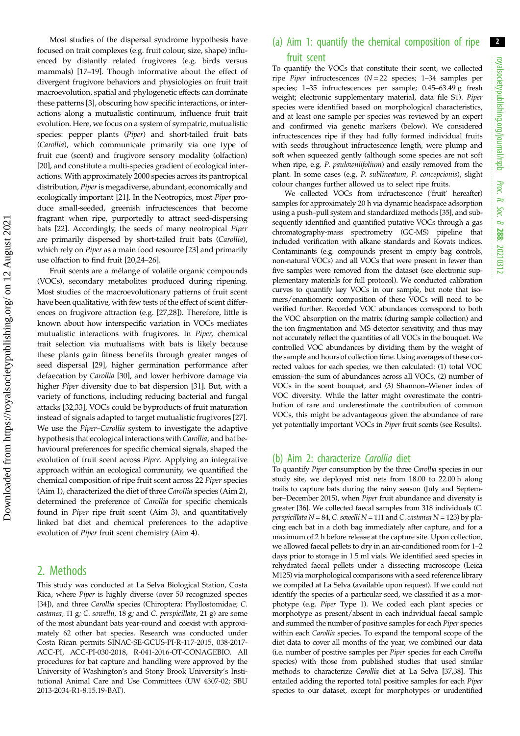Most studies of the dispersal syndrome hypothesis have focused on trait complexes (e.g. fruit colour, size, shape) influenced by distantly related frugivores (e.g. birds versus mammals) [\[17](#page-8-0)–[19](#page-8-0)]. Though informative about the effect of divergent frugivore behaviors and physiologies on fruit trait macroevolution, spatial and phylogenetic effects can dominate these patterns [\[3\]](#page-7-0), obscuring how specific interactions, or interactions along a mutualistic continuum, influence fruit trait evolution. Here, we focus on a system of sympatric, mutualistic species: pepper plants (Piper) and short-tailed fruit bats (Carollia), which communicate primarily via one type of fruit cue (scent) and frugivore sensory modality (olfaction) [\[20](#page-8-0)], and constitute a multi-species gradient of ecological interactions. With approximately 2000 species across its pantropical distribution, Piper is megadiverse, abundant, economically and ecologically important [[21\]](#page-8-0). In the Neotropics, most Piper produce small-seeded, greenish infructescences that become fragrant when ripe, purportedly to attract seed-dispersing bats [\[22](#page-8-0)]. Accordingly, the seeds of many neotropical Piper are primarily dispersed by short-tailed fruit bats (Carollia), which rely on Piper as a main food resource [[23](#page-8-0)] and primarily use olfaction to find fruit [[20,24](#page-8-0)–[26](#page-8-0)].

Fruit scents are a mélange of volatile organic compounds (VOCs), secondary metabolites produced during ripening. Most studies of the macroevolutionary patterns of fruit scent have been qualitative, with few tests of the effect of scent differences on frugivore attraction (e.g. [\[27,28](#page-8-0)]). Therefore, little is known about how interspecific variation in VOCs mediates mutualistic interactions with frugivores. In Piper, chemical trait selection via mutualisms with bats is likely because these plants gain fitness benefits through greater ranges of seed dispersal [[29](#page-8-0)], higher germination performance after defaecation by Carollia [[30\]](#page-8-0), and lower herbivore damage via higher Piper diversity due to bat dispersion [[31\]](#page-8-0). But, with a variety of functions, including reducing bacterial and fungal attacks [[32,33\]](#page-8-0), VOCs could be byproducts of fruit maturation instead of signals adapted to target mutualistic frugivores [\[27](#page-8-0)]. We use the Piper–Carollia system to investigate the adaptive hypothesis that ecological interactions with Carollia, and bat behavioural preferences for specific chemical signals, shaped the evolution of fruit scent across Piper. Applying an integrative approach within an ecological community, we quantified the chemical composition of ripe fruit scent across 22 Piper species (Aim 1), characterized the diet of three Carollia species (Aim 2), determined the preference of Carollia for specific chemicals found in Piper ripe fruit scent (Aim 3), and quantitatively linked bat diet and chemical preferences to the adaptive evolution of Piper fruit scent chemistry (Aim 4).

## 2. Methods

This study was conducted at La Selva Biological Station, Costa Rica, where Piper is highly diverse (over 50 recognized species [\[34\]](#page-8-0)), and three Carollia species (Chiroptera: Phyllostomidae; C. castanea, 11 g; C. sowellii, 18 g; and C. perspicillata, 21 g) are some of the most abundant bats year-round and coexist with approximately 62 other bat species. Research was conducted under Costa Rican permits SINAC-SE-GCUS-PI-R-117-2015, 038-2017- ACC-PI, ACC-PI-030-2018, R-041-2016-OT-CONAGEBIO. All procedures for bat capture and handling were approved by the University of Washington's and Stony Brook University's Institutional Animal Care and Use Committees (UW 4307-02; SBU 2013-2034-R1-8.15.19-BAT).

## (a) Aim 1: quantify the chemical composition of ripe fruit scent

To quantify the VOCs that constitute their scent, we collected ripe *Piper* infructescences  $(N = 22$  species; 1–34 samples per species; 1–35 infructescences per sample; 0.45–63.49 g fresh weight; electronic supplementary material, data file S1). Piper species were identified based on morphological characteristics, and at least one sample per species was reviewed by an expert and confirmed via genetic markers (below). We considered infructescences ripe if they had fully formed individual fruits with seeds throughout infructescence length, were plump and soft when squeezed gently (although some species are not soft when ripe, e.g. P. paulowniifolium) and easily removed from the plant. In some cases (e.g. P. sublineatum, P. concepcionis), slight colour changes further allowed us to select ripe fruits.

We collected VOCs from infructescence ('fruit' hereafter) samples for approximately 20 h via dynamic headspace adsorption using a push–pull system and standardized methods [\[35\]](#page-8-0), and subsequently identified and quantified putative VOCs through a gas chromatography-mass spectrometry (GC-MS) pipeline that included verification with alkane standards and Kovats indices. Contaminants (e.g. compounds present in empty bag controls, non-natural VOCs) and all VOCs that were present in fewer than five samples were removed from the dataset (see electronic supplementary materials for full protocol). We conducted calibration curves to quantify key VOCs in our sample, but note that isomers/enantiomeric composition of these VOCs will need to be verified further. Recorded VOC abundances correspond to both the VOC absorption on the matrix (during sample collection) and the ion fragmentation and MS detector sensitivity, and thus may not accurately reflect the quantities of all VOCs in the bouquet. We controlled VOC abundances by dividing them by the weight of the sample and hours of collection time. Using averages of these corrected values for each species, we then calculated: (1) total VOC emission–the sum of abundances across all VOCs, (2) number of VOCs in the scent bouquet, and (3) Shannon–Wiener index of VOC diversity. While the latter might overestimate the contribution of rare and underestimate the contribution of common VOCs, this might be advantageous given the abundance of rare yet potentially important VOCs in Piper fruit scents (see Results).

#### (b) Aim 2: characterize Carollia diet

To quantify Piper consumption by the three Carollia species in our study site, we deployed mist nets from 18.00 to 22.00 h along trails to capture bats during the rainy season (July and September–December 2015), when Piper fruit abundance and diversity is greater [\[36\]](#page-8-0). We collected faecal samples from 318 individuals (C. perspicillata  $N = 84$ , C. sowelli  $N = 111$  and C. castanea  $N = 123$ ) by placing each bat in a cloth bag immediately after capture, and for a maximum of 2 h before release at the capture site. Upon collection, we allowed faecal pellets to dry in an air-conditioned room for 1–2 days prior to storage in 1.5 ml vials. We identified seed species in rehydrated faecal pellets under a dissecting microscope (Leica M125) via morphological comparisons with a seed reference library we compiled at La Selva (available upon request). If we could not identify the species of a particular seed, we classified it as a morphotype (e.g. Piper Type 1). We coded each plant species or morphotype as present/absent in each individual faecal sample and summed the number of positive samples for each Piper species within each Carollia species. To expand the temporal scope of the diet data to cover all months of the year, we combined our data (i.e. number of positive samples per Piper species for each Carollia species) with those from published studies that used similar methods to characterize Carollia diet at La Selva [\[37,38\]](#page-8-0). This entailed adding the reported total positive samples for each Piper species to our dataset, except for morphotypes or unidentified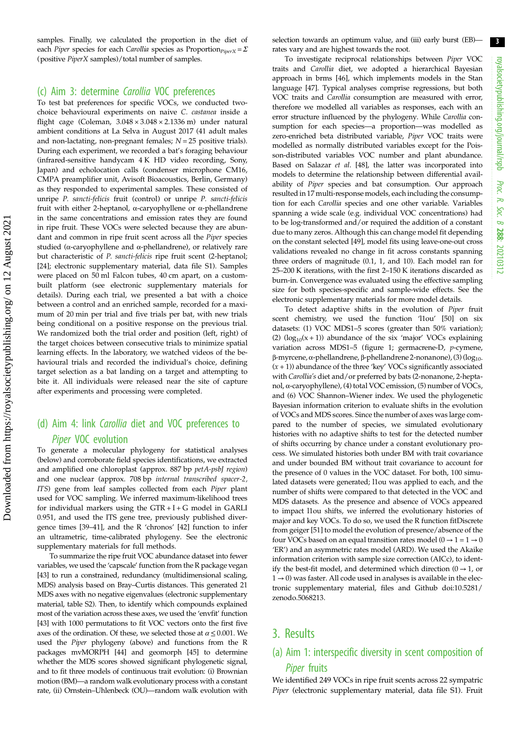samples. Finally, we calculated the proportion in the diet of each Piper species for each Carollia species as Proportion $p_{iperX} = \Sigma$ (positive PiperX samples)/total number of samples.

#### (c) Aim 3: determine Carollia VOC preferences

To test bat preferences for specific VOCs, we conducted twochoice behavioural experiments on naive C. castanea inside a flight cage (Coleman,  $3.048 \times 3.048 \times 2.1336$  m) under natural ambient conditions at La Selva in August 2017 (41 adult males and non-lactating, non-pregnant females;  $N = 25$  positive trials). During each experiment, we recorded a bat's foraging behaviour (infrared-sensitive handycam 4 K HD video recording, Sony, Japan) and echolocation calls (condenser microphone CM16, CMPA preamplifier unit, Avisoft Bioacoustics, Berlin, Germany) as they responded to experimental samples. These consisted of unripe P. sancti-felicis fruit (control) or unripe P. sancti-felicis fruit with either 2-heptanol, α-caryophyllene or α-phellandrene in the same concentrations and emission rates they are found in ripe fruit. These VOCs were selected because they are abundant and common in ripe fruit scent across all the Piper species studied (α-caryophyllene and α-phellandrene), or relatively rare but characteristic of P. sancti-felicis ripe fruit scent (2-heptanol; [\[24\]](#page-8-0); electronic supplementary material, data file S1). Samples were placed on 50 ml Falcon tubes, 40 cm apart, on a custombuilt platform (see electronic supplementary materials for details). During each trial, we presented a bat with a choice between a control and an enriched sample, recorded for a maximum of 20 min per trial and five trials per bat, with new trials being conditional on a positive response on the previous trial. We randomized both the trial order and position (left, right) of the target choices between consecutive trials to minimize spatial learning effects. In the laboratory, we watched videos of the behavioural trials and recorded the individual's choice, defining target selection as a bat landing on a target and attempting to bite it. All individuals were released near the site of capture after experiments and processing were completed.

## (d) Aim 4: link Carollia diet and VOC preferences to Piper VOC evolution

To generate a molecular phylogeny for statistical analyses (below) and corroborate field species identifications, we extracted and amplified one chloroplast (approx. 887 bp petA-psbJ region) and one nuclear (approx. 708 bp internal transcribed spacer-2, ITS) gene from leaf samples collected from each Piper plant used for VOC sampling. We inferred maximum-likelihood trees for individual markers using the  $GTR + I + G$  model in  $GARLI$ 0.951, and used the ITS gene tree, previously published divergence times [[39](#page-8-0)–[41\]](#page-8-0), and the R 'chronos' [[42](#page-8-0)] function to infer an ultrametric, time-calibrated phylogeny. See the electronic supplementary materials for full methods.

To summarize the ripe fruit VOC abundance dataset into fewer variables, we used the 'capscale' function from the R package vegan [\[43](#page-8-0)] to run a constrained, redundancy (multidimensional scaling, MDS) analysis based on Bray–Curtis distances. This generated 21 MDS axes with no negative eigenvalues (electronic supplementary material, table S2). Then, to identify which compounds explained most of the variation across these axes, we used the 'envfit' function [\[43](#page-8-0)] with 1000 permutations to fit VOC vectors onto the first five axes of the ordination. Of these, we selected those at  $\alpha \leq 0.001$ . We used the Piper phylogeny (above) and functions from the R packages mvMORPH [[44](#page-8-0)] and geomorph [[45\]](#page-8-0) to determine whether the MDS scores showed significant phylogenetic signal, and to fit three models of continuous trait evolution: (i) Brownian motion (BM)—a random walk evolutionary process with a constant rate, (ii) Ornstein–Uhlenbeck (OU)—random walk evolution with selection towards an optimum value, and (iii) early burst (EB) rates vary and are highest towards the root.

To investigate reciprocal relationships between Piper VOC traits and Carollia diet, we adopted a hierarchical Bayesian approach in brms [\[46\]](#page-8-0), which implements models in the Stan language [\[47\]](#page-8-0). Typical analyses comprise regressions, but both VOC traits and Carollia consumption are measured with error, therefore we modelled all variables as responses, each with an error structure influenced by the phylogeny. While Carollia consumption for each species—a proportion—was modelled as zero-enriched beta distributed variable, Piper VOC traits were modelled as normally distributed variables except for the Poisson-distributed variables VOC number and plant abundance. Based on Salazar et al. [[48](#page-8-0)], the latter was incorporated into models to determine the relationship between differential availability of Piper species and bat consumption. Our approach resulted in 17 multi-response models, each including the consumption for each Carollia species and one other variable. Variables spanning a wide scale (e.g. individual VOC concentrations) had to be log-transformed and/or required the addition of a constant due to many zeros. Although this can change model fit depending on the constant selected [[49](#page-8-0)], model fits using leave-one-out cross validations revealed no change in fit across constants spanning three orders of magnitude (0.1, 1, and 10). Each model ran for 25–200 K iterations, with the first 2–150 K iterations discarded as burn-in. Convergence was evaluated using the effective sampling size for both species-specific and sample-wide effects. See the electronic supplementary materials for more model details.

To detect adaptive shifts in the evolution of Piper fruit scent chemistry, we used the function 'l1ou' [[50](#page-9-0)] on six datasets: (1) VOC MDS1–5 scores (greater than 50% variation); (2)  $(log_{10}(x + 1))$  abundance of the six 'major' VOCs explaining variation across MDS1–5 ([figure 1;](#page-3-0) germacrene-D, p-cymene, β-myrcene, α-phellandrene, β-phellandrene 2-nonanone), (3) (log10-  $(x + 1)$ ) abundance of the three 'key' VOCs significantly associated with Carollia's diet and/or preferred by bats (2-nonanone, 2-heptanol, α-caryophyllene), (4) total VOC emission, (5) number of VOCs, and (6) VOC Shannon–Wiener index. We used the phylogenetic Bayesian information criterion to evaluate shifts in the evolution of VOCs and MDS scores. Since the number of axes was large compared to the number of species, we simulated evolutionary histories with no adaptive shifts to test for the detected number of shifts occurring by chance under a constant evolutionary process. We simulated histories both under BM with trait covariance and under bounded BM without trait covariance to account for the presence of 0 values in the VOC dataset. For both, 100 simulated datasets were generated; l1ou was applied to each, and the number of shifts were compared to that detected in the VOC and MDS datasets. As the presence and absence of VOCs appeared to impact l1ou shifts, we inferred the evolutionary histories of major and key VOCs. To do so, we used the R function fitDiscrete from geiger [[51](#page-9-0)] to model the evolution of presence/absence of the four VOCs based on an equal transition rates model ( $0 \rightarrow 1 = 1 \rightarrow 0$ 'ER') and an asymmetric rates model (ARD). We used the Akaike information criterion with sample size correction (AICc), to identify the best-fit model, and determined which direction  $(0 \rightarrow 1)$ , or  $1 \rightarrow 0$ ) was faster. All code used in analyses is available in the electronic supplementary material, files and Github [doi:10.5281/](http://dx.doi.org/doi:10.5281/zenodo.5068213) [zenodo.5068213.](http://dx.doi.org/doi:10.5281/zenodo.5068213)

### 3. Results

## (a) Aim 1: interspecific diversity in scent composition of Piper fruits

We identified 249 VOCs in ripe fruit scents across 22 sympatric Piper (electronic supplementary material, data file S1). Fruit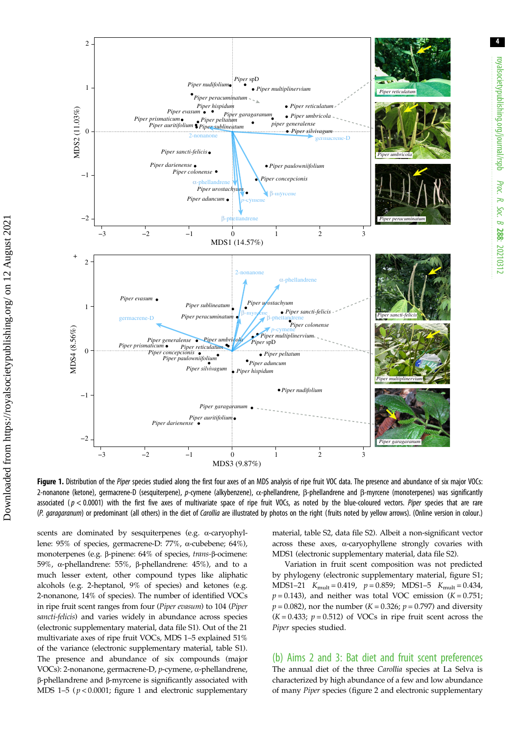<span id="page-3-0"></span>

Figure 1. Distribution of the Piper species studied along the first four axes of an MDS analysis of ripe fruit VOC data. The presence and abundance of six major VOCs: 2-nonanone (ketone), germacrene-D (sesquiterpene), p-cymene (alkybenzene), α-phellandrene, β-phellandrene and β-myrcene (monoterpenes) was significantly associated ( $p < 0.0001$ ) with the first five axes of multivariate space of ripe fruit VOCs, as noted by the blue-coloured vectors. Piper species that are rare (P. garagaranum) or predominant (all others) in the diet of Carollia are illustrated by photos on the right (fruits noted by yellow arrows). (Online version in colour.)

scents are dominated by sesquiterpenes (e.g. α-caryophyllene: 95% of species, germacrene-D: 77%, α-cubebene; 64%), monoterpenes (e.g. β-pinene: 64% of species, trans-β-ocimene: 59%, α-phellandrene: 55%, β-phellandrene: 45%), and to a much lesser extent, other compound types like aliphatic alcohols (e.g. 2-heptanol, 9% of species) and ketones (e.g. 2-nonanone, 14% of species). The number of identified VOCs in ripe fruit scent ranges from four (Piper evasum) to 104 (Piper sancti-felicis) and varies widely in abundance across species (electronic supplementary material, data file S1). Out of the 21 multivariate axes of ripe fruit VOCs, MDS 1–5 explained 51% of the variance (electronic supplementary material, table S1). The presence and abundance of six compounds (major VOCs): 2-nonanone, germacrene-D, p-cymene, α-phellandrene, β-phellandrene and β-myrcene is significantly associated with MDS 1–5 ( $p < 0.0001$ ; figure 1 and electronic supplementary material, table S2, data file S2). Albeit a non-significant vector across these axes, α-caryophyllene strongly covaries with MDS1 (electronic supplementary material, data file S2).

Variation in fruit scent composition was not predicted by phylogeny (electronic supplementary material, figure S1; MDS1–21  $K_{\text{mult}} = 0.419$ ,  $p = 0.859$ ; MDS1–5  $K_{\text{mult}} = 0.434$ ,  $p = 0.143$ ), and neither was total VOC emission (K = 0.751;  $p = 0.082$ ), nor the number (*K* = 0.326;  $p = 0.797$ ) and diversity  $(K = 0.433; p = 0.512)$  of VOCs in ripe fruit scent across the Piper species studied.

(b) Aims 2 and 3: Bat diet and fruit scent preferences The annual diet of the three Carollia species at La Selva is characterized by high abundance of a few and low abundance of many Piper species [\(figure 2](#page-4-0) and electronic supplementary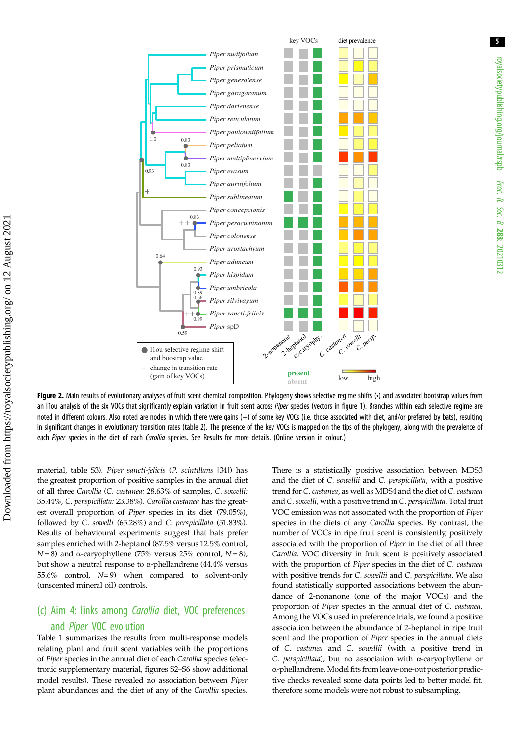<span id="page-4-0"></span>

Figure 2. Main results of evolutionary analyses of fruit scent chemical composition. Phylogeny shows selective regime shifts (·) and associated bootstrap values from an I1ou analysis of the six VOCs that significantly explain variation in fruit scent across Piper species (vectors in [figure 1\)](#page-3-0). Branches within each selective regime are noted in different colours. Also noted are nodes in which there were gains (+) of some key VOCs (i.e. those associated with diet, and/or preferred by bats), resulting in significant changes in evolutionary transition rates ([table 2](#page-6-0)). The presence of the key VOCs is mapped on the tips of the phylogeny, along with the prevalence of each Piper species in the diet of each Carollia species. See Results for more details. (Online version in colour.)

material, table S3). Piper sancti-felicis (P. scintillans [\[34](#page-8-0)]) has the greatest proportion of positive samples in the annual diet of all three Carollia (C. castanea: 28.63% of samples, C. sowelli: 35.44%, C. perspicillata: 23.38%). Carollia castanea has the greatest overall proportion of Piper species in its diet (79.05%), followed by C. sowelli (65.28%) and C. perspicillata (51.83%). Results of behavioural experiments suggest that bats prefer samples enriched with 2-heptanol (87.5% versus 12.5% control,  $N = 8$ ) and  $\alpha$ -caryophyllene (75% versus 25% control,  $N = 8$ ), but show a neutral response to α-phellandrene (44.4% versus 55.6% control,  $N=9$ ) when compared to solvent-only (unscented mineral oil) controls.

## (c) Aim 4: links among Carollia diet, VOC preferences and Piper VOC evolution

[Table 1](#page-5-0) summarizes the results from multi-response models relating plant and fruit scent variables with the proportions of Piper species in the annual diet of each Carollia species (electronic supplementary material, figures S2–S6 show additional model results). These revealed no association between Piper plant abundances and the diet of any of the Carollia species.

There is a statistically positive association between MDS3 and the diet of C. sowellii and C. perspicillata, with a positive trend for C. castanea, as well as MDS4 and the diet of C. castanea and C. sowelli, with a positive trend in C. perspicillata. Total fruit VOC emission was not associated with the proportion of Piper species in the diets of any Carollia species. By contrast, the number of VOCs in ripe fruit scent is consistently, positively associated with the proportion of Piper in the diet of all three Carollia. VOC diversity in fruit scent is positively associated with the proportion of Piper species in the diet of C. castanea with positive trends for C. sowellii and C. perspicillata. We also found statistically supported associations between the abundance of 2-nonanone (one of the major VOCs) and the proportion of Piper species in the annual diet of C. castanea. Among the VOCs used in preference trials, we found a positive association between the abundance of 2-heptanol in ripe fruit scent and the proportion of Piper species in the annual diets of C. castanea and C. sowellii (with a positive trend in C. perspicillata), but no association with α-caryophyllene or α-phellandrene. Model fits from leave-one-out posterior predictive checks revealed some data points led to better model fit, therefore some models were not robust to subsampling.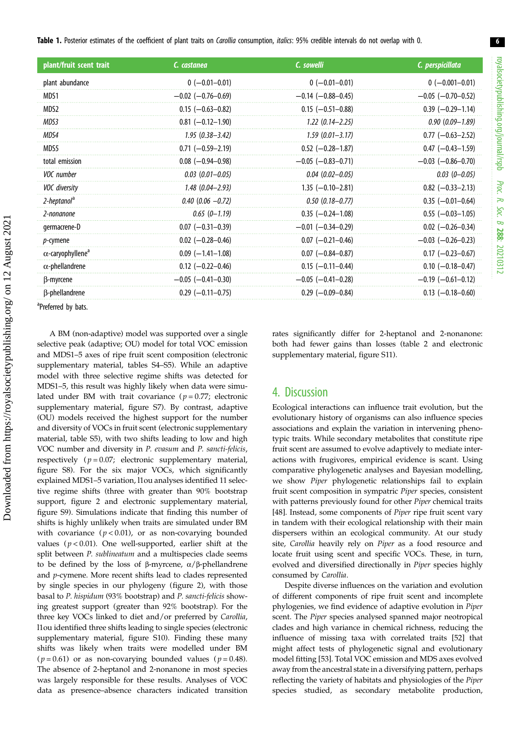<span id="page-5-0"></span>Table 1. Posterior estimates of the coefficient of plant traits on Carollia consumption, italics: 95% credible intervals do not overlap with 0.

| plant/fruit scent trait              | C. castanea              | C. sowelli                 | C. perspicillata           |  |  |
|--------------------------------------|--------------------------|----------------------------|----------------------------|--|--|
| plant abundance                      | $0 (-0.01 - 0.01)$       | $0 (-0.01 - 0.01)$         | $0 (-0.001 - 0.01)$        |  |  |
| MDS1                                 | $-0.02$ ( $-0.76-0.69$ ) | $-0.14$ ( $-0.88-0.45$ )   | $-0.05$ ( $-0.70-0.52$ )   |  |  |
| MDS2                                 | $0.15$ (-0.63-0.82)      | $0.15$ (-0.51-0.88)        | $0.39$ (-0.29-1.14)        |  |  |
| MDS3                                 | $0.81$ (-0.12-1.90)      | $1.22$ $(0.14 - 2.25)$     | $0.90(0.09 - 1.89)$        |  |  |
| MDS4                                 | $1.95(0.38 - 3.42)$      | $1.59(0.01 - 3.17)$        | $0.77$ (-0.63-2.52)        |  |  |
| MDS5                                 | $0.71$ (-0.59-2.19)      | $0.52$ (-0.28-1.87)        | $0.47$ (-0.43-1.59)        |  |  |
| total emission                       | $0.08$ (-0.94-0.98)      | $-0.05$ ( $-0.83 - 0.71$ ) | $-0.03$ ( $-0.86 - 0.70$ ) |  |  |
| VOC number                           | $0.03(0.01 - 0.05)$      | $0.04(0.02 - 0.05)$        | $0.03(0 - 0.05)$           |  |  |
| VOC diversity                        | $1.48$ (0.04-2.93)       | $1.35$ (-0.10-2.81)        | $0.82$ (-0.33-2.13)        |  |  |
| 2-heptanol <sup>a</sup>              | $0.40$ (0.06 $-0.72$ )   | $0.50(0.18 - 0.77)$        | $0.35$ (-0.01-0.64)        |  |  |
| 2-nonanone                           | $0.65(0-1.19)$           | $0.35$ (-0.24-1.08)        | $0.55$ (-0.03-1.05)        |  |  |
| germacrene-D                         | $0.07$ (-0.31-0.39)      | $-0.01$ ( $-0.34-0.29$ )   | $0.02$ (-0.26-0.34)        |  |  |
| p-cymene                             | $0.02$ (-0.28-0.46)      | $0.07$ (-0.21-0.46)        | $-0.03$ ( $-0.26 - 0.23$ ) |  |  |
| $\alpha$ -caryophyllene <sup>a</sup> | $0.09$ (-1.41-1.08)      | $0.07$ (-0.84-0.87)        | $0.17$ (-0.23-0.67)        |  |  |
| $\alpha$ -phellandrene               | $0.12$ (-0.22-0.46)      | $0.15$ (-0.11-0.44)        | $0.10$ (-0.18-0.47)        |  |  |
| β-myrcene                            | $-0.05$ ( $-0.41-0.30$ ) | $-0.05$ ( $-0.41-0.28$ )   | $-0.19$ ( $-0.61-0.12$ )   |  |  |
| β-phellandrene                       | $0.29$ (-0.11-0.75)      | $0.29$ (-0.09-0.84)        | $0.13$ (-0.18-0.60)        |  |  |

<sup>a</sup>Preferred by bats.

A BM (non-adaptive) model was supported over a single selective peak (adaptive; OU) model for total VOC emission and MDS1–5 axes of ripe fruit scent composition (electronic supplementary material, tables S4–S5). While an adaptive model with three selective regime shifts was detected for MDS1–5, this result was highly likely when data were simulated under BM with trait covariance ( $p = 0.77$ ; electronic supplementary material, figure S7). By contrast, adaptive (OU) models received the highest support for the number and diversity of VOCs in fruit scent (electronic supplementary material, table S5), with two shifts leading to low and high VOC number and diversity in P. evasum and P. sancti-felicis, respectively  $(p = 0.07;$  electronic supplementary material, figure S8). For the six major VOCs, which significantly explained MDS1–5 variation, l1ou analyses identified 11 selective regime shifts (three with greater than 90% bootstrap support, [figure 2](#page-4-0) and electronic supplementary material, figure S9). Simulations indicate that finding this number of shifts is highly unlikely when traits are simulated under BM with covariance  $(p < 0.01)$ , or as non-covarying bounded values ( $p < 0.01$ ). One well-supported, earlier shift at the split between P. sublineatum and a multispecies clade seems to be defined by the loss of β-myrcene, α/β-phellandrene and p-cymene. More recent shifts lead to clades represented by single species in our phylogeny [\(figure 2](#page-4-0)), with those basal to P. hispidum (93% bootstrap) and P. sancti-felicis showing greatest support (greater than 92% bootstrap). For the three key VOCs linked to diet and/or preferred by Carollia, l1ou identified three shifts leading to single species (electronic supplementary material, figure S10). Finding these many shifts was likely when traits were modelled under BM ( $p = 0.61$ ) or as non-covarying bounded values ( $p = 0.48$ ). The absence of 2-heptanol and 2-nonanone in most species was largely responsible for these results. Analyses of VOC data as presence–absence characters indicated transition rates significantly differ for 2-heptanol and 2-nonanone: both had fewer gains than losses [\(table 2](#page-6-0) and electronic supplementary material, figure S11).

#### 4. Discussion

Ecological interactions can influence trait evolution, but the evolutionary history of organisms can also influence species associations and explain the variation in intervening phenotypic traits. While secondary metabolites that constitute ripe fruit scent are assumed to evolve adaptively to mediate interactions with frugivores, empirical evidence is scant. Using comparative phylogenetic analyses and Bayesian modelling, we show Piper phylogenetic relationships fail to explain fruit scent composition in sympatric Piper species, consistent with patterns previously found for other Piper chemical traits [[48\]](#page-8-0). Instead, some components of *Piper* ripe fruit scent vary in tandem with their ecological relationship with their main dispersers within an ecological community. At our study site, Carollia heavily rely on Piper as a food resource and locate fruit using scent and specific VOCs. These, in turn, evolved and diversified directionally in Piper species highly consumed by Carollia.

Despite diverse influences on the variation and evolution of different components of ripe fruit scent and incomplete phylogenies, we find evidence of adaptive evolution in Piper scent. The Piper species analysed spanned major neotropical clades and high variance in chemical richness, reducing the influence of missing taxa with correlated traits [\[52](#page-9-0)] that might affect tests of phylogenetic signal and evolutionary model fitting [\[53](#page-9-0)]. Total VOC emission and MDS axes evolved away from the ancestral state in a diversifying pattern, perhaps reflecting the variety of habitats and physiologies of the Piper species studied, as secondary metabolite production,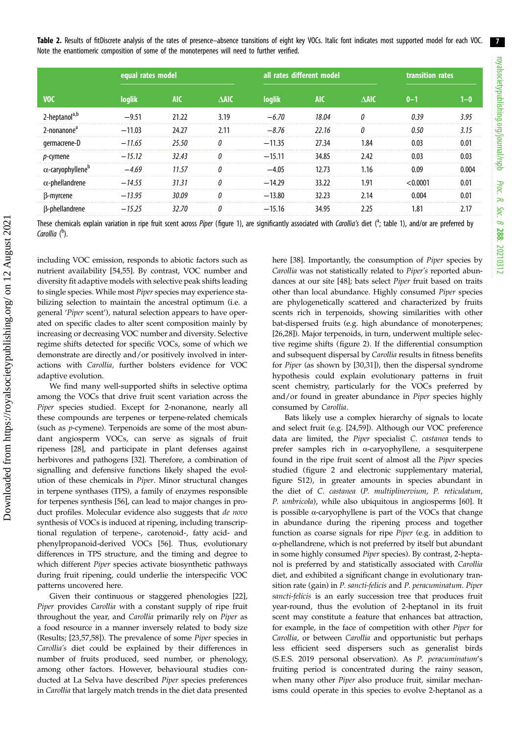<span id="page-6-0"></span>Table 2. Results of fitDiscrete analysis of the rates of presence-absence transitions of eight key VOCs. Italic font indicates most supported model for each VOC. Note the enantiomeric composition of some of the monoterpenes will need to further verified.

|                                      | equal rates model |            |                 | all rates different model |            |                 | transition rates |       |
|--------------------------------------|-------------------|------------|-----------------|---------------------------|------------|-----------------|------------------|-------|
| <b>VOC</b>                           | loglik            | <b>AIC</b> | $\triangle$ AIC | loglik                    | <b>AIC</b> | $\triangle$ AIC | $0 - 1$          | 1–0   |
| 2-heptanol <sup>a,b</sup>            | $-9.51$           | 21.22      | 3.19            | $-6.70$                   | 18.04      |                 | 0.39             | 3.95  |
| 2-nonanone <sup>a</sup>              | $-11.03$          | 24.27      | 2.11            | $-8.76$                   | 22.16      | O               | 0.50             | 3.15  |
| germacrene-D                         | $-11.65$          | 25.50      | <sup>0</sup>    | $-11.35$                  | 27.34      | 1.84            | 0.03             | 0.01  |
| <i>p</i> -cymene                     | $-15.12$          | 32.43      |                 | $-15.11$                  | 34.85      | 2.42            | 0.03             | 0.03  |
| $\alpha$ -caryophyllene <sup>b</sup> | $-469$            | 11.57      |                 | $-4.05$                   | 12.73      | 1.16            | 0.09             | 0.004 |
| $\alpha$ -phellandrene               | $-14.55$          | 31.31      | $\theta$        | $-14.29$                  | 33.22      | 1.91            | < 0.0001         | 0.01  |
| B-myrcene                            | $-13.95$          | 30.09      | n               | $-13.80$                  | 32.23      | 2.14            | 0.004            | 0.01  |
| B-phellandrene                       | $-15.25$          | 32.70      |                 | $-15.16$                  | 34.95      | 2.25            | 1.81             | 2.17  |
|                                      |                   |            |                 |                           |            |                 |                  |       |

These chemicals explain variation in ripe fruit scent across Piper (fi[gure 1](#page-3-0)), are significantly associated with Carollia's diet (<sup>a</sup>; [table 1](#page-5-0)), and/or are preferred by Carollia (<sup>b</sup>).

including VOC emission, responds to abiotic factors such as nutrient availability [[54,55](#page-9-0)]. By contrast, VOC number and diversity fit adaptive models with selective peak shifts leading to single species. While most Piper species may experience stabilizing selection to maintain the ancestral optimum (i.e. a general 'Piper scent'), natural selection appears to have operated on specific clades to alter scent composition mainly by increasing or decreasing VOC number and diversity. Selective regime shifts detected for specific VOCs, some of which we demonstrate are directly and/or positively involved in interactions with Carollia, further bolsters evidence for VOC adaptive evolution.

We find many well-supported shifts in selective optima among the VOCs that drive fruit scent variation across the Piper species studied. Except for 2-nonanone, nearly all these compounds are terpenes or terpene-related chemicals (such as p-cymene). Terpenoids are some of the most abundant angiosperm VOCs, can serve as signals of fruit ripeness [\[28](#page-8-0)], and participate in plant defenses against herbivores and pathogens [[32\]](#page-8-0). Therefore, a combination of signalling and defensive functions likely shaped the evolution of these chemicals in Piper. Minor structural changes in terpene synthases (TPS), a family of enzymes responsible for terpenes synthesis [\[56](#page-9-0)], can lead to major changes in product profiles. Molecular evidence also suggests that de novo synthesis of VOCs is induced at ripening, including transcriptional regulation of terpene-, carotenoid-, fatty acid- and phenylpropanoid-derived VOCs [[56\]](#page-9-0). Thus, evolutionary differences in TPS structure, and the timing and degree to which different Piper species activate biosynthetic pathways during fruit ripening, could underlie the interspecific VOC patterns uncovered here.

Given their continuous or staggered phenologies [\[22](#page-8-0)], Piper provides Carollia with a constant supply of ripe fruit throughout the year, and Carollia primarily rely on Piper as a food resource in a manner inversely related to body size (Results; [[23](#page-8-0)[,57,58](#page-9-0)]). The prevalence of some Piper species in Carollia's diet could be explained by their differences in number of fruits produced, seed number, or phenology, among other factors. However, behavioural studies conducted at La Selva have described Piper species preferences in Carollia that largely match trends in the diet data presented here [\[38](#page-8-0)]. Importantly, the consumption of Piper species by Carollia was not statistically related to Piper's reported abundances at our site [\[48](#page-8-0)]; bats select Piper fruit based on traits other than local abundance. Highly consumed Piper species are phylogenetically scattered and characterized by fruits scents rich in terpenoids, showing similarities with other bat-dispersed fruits (e.g. high abundance of monoterpenes; [[26,28\]](#page-8-0)). Major terpenoids, in turn, underwent multiple selective regime shifts [\(figure 2](#page-4-0)). If the differential consumption and subsequent dispersal by Carollia results in fitness benefits for Piper (as shown by [[30,31](#page-8-0)]), then the dispersal syndrome hypothesis could explain evolutionary patterns in fruit scent chemistry, particularly for the VOCs preferred by and/or found in greater abundance in Piper species highly consumed by Carollia.

Bats likely use a complex hierarchy of signals to locate and select fruit (e.g. [\[24](#page-8-0)[,59](#page-9-0)]). Although our VOC preference data are limited, the Piper specialist C. castanea tends to prefer samples rich in α-caryophyllene, a sesquiterpene found in the ripe fruit scent of almost all the Piper species studied ([figure 2](#page-4-0) and electronic supplementary material, figure S12), in greater amounts in species abundant in the diet of C. castanea (P. multiplinervium, P. reticulatum, P. umbricola), while also ubiquitous in angiosperms [[60\]](#page-9-0). It is possible α-caryophyllene is part of the VOCs that change in abundance during the ripening process and together function as coarse signals for ripe Piper (e.g. in addition to α-phellandrene, which is not preferred by itself but abundant in some highly consumed Piper species). By contrast, 2-heptanol is preferred by and statistically associated with Carollia diet, and exhibited a significant change in evolutionary transition rate (gain) in P. sancti-felicis and P. peracuminatum. Piper sancti-felicis is an early succession tree that produces fruit year-round, thus the evolution of 2-heptanol in its fruit scent may constitute a feature that enhances bat attraction, for example, in the face of competition with other Piper for Carollia, or between Carollia and opportunistic but perhaps less efficient seed dispersers such as generalist birds (S.E.S. 2019 personal observation). As P. peracuminatum's fruiting period is concentrated during the rainy season, when many other Piper also produce fruit, similar mechanisms could operate in this species to evolve 2-heptanol as a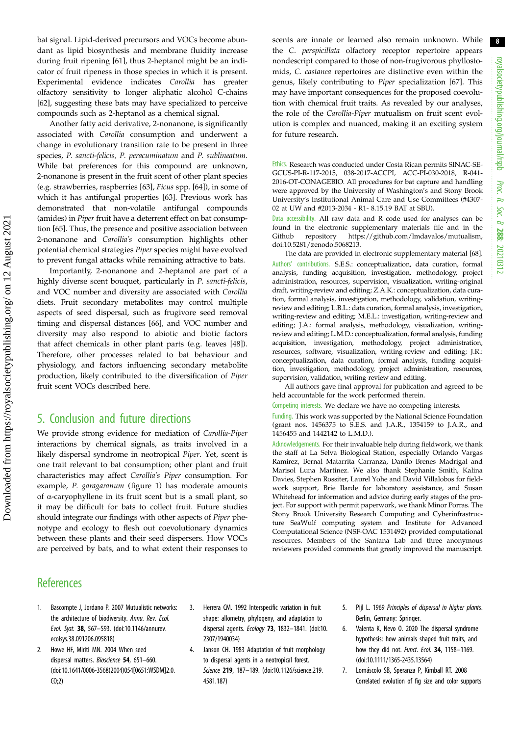<span id="page-7-0"></span>bat signal. Lipid-derived precursors and VOCs become abundant as lipid biosynthesis and membrane fluidity increase during fruit ripening [[61\]](#page-9-0), thus 2-heptanol might be an indicator of fruit ripeness in those species in which it is present. Experimental evidence indicates Carollia has greater olfactory sensitivity to longer aliphatic alcohol C-chains [\[62](#page-9-0)], suggesting these bats may have specialized to perceive compounds such as 2-heptanol as a chemical signal.

Another fatty acid derivative, 2-nonanone, is significantly associated with Carollia consumption and underwent a change in evolutionary transition rate to be present in three species, P. sancti-felicis, P. peracuminatum and P. sublineatum. While bat preferences for this compound are unknown, 2-nonanone is present in the fruit scent of other plant species (e.g. strawberries, raspberries [[63\]](#page-9-0), Ficus spp. [\[64](#page-9-0)]), in some of which it has antifungal properties [[63\]](#page-9-0). Previous work has demonstrated that non-volatile antifungal compounds (amides) in Piper fruit have a deterrent effect on bat consumption [\[65](#page-9-0)]. Thus, the presence and positive association between 2-nonanone and Carollia's consumption highlights other potential chemical strategies Piper species might have evolved to prevent fungal attacks while remaining attractive to bats.

Importantly, 2-nonanone and 2-heptanol are part of a highly diverse scent bouquet, particularly in P. sancti-felicis, and VOC number and diversity are associated with Carollia diets. Fruit secondary metabolites may control multiple aspects of seed dispersal, such as frugivore seed removal timing and dispersal distances [\[66](#page-9-0)], and VOC number and diversity may also respond to abiotic and biotic factors that affect chemicals in other plant parts (e.g. leaves [\[48](#page-8-0)]). Therefore, other processes related to bat behaviour and physiology, and factors influencing secondary metabolite production, likely contributed to the diversification of Piper fruit scent VOCs described here.

### 5. Conclusion and future directions

We provide strong evidence for mediation of Carollia-Piper interactions by chemical signals, as traits involved in a likely dispersal syndrome in neotropical Piper. Yet, scent is one trait relevant to bat consumption; other plant and fruit characteristics may affect Carollia's Piper consumption. For example, P. garagaranum [\(figure 1](#page-3-0)) has moderate amounts of α-caryophyllene in its fruit scent but is a small plant, so it may be difficult for bats to collect fruit. Future studies should integrate our findings with other aspects of Piper phenotype and ecology to flesh out coevolutionary dynamics between these plants and their seed dispersers. How VOCs are perceived by bats, and to what extent their responses to scents are innate or learned also remain unknown. While the C. perspicillata olfactory receptor repertoire appears nondescript compared to those of non-frugivorous phyllostomids, C. castanea repertoires are distinctive even within the genus, likely contributing to Piper specialization [\[67](#page-9-0)]. This may have important consequences for the proposed coevolution with chemical fruit traits. As revealed by our analyses, the role of the Carollia-Piper mutualism on fruit scent evolution is complex and nuanced, making it an exciting system for future research.

Ethics. Research was conducted under Costa Rican permits SINAC-SE-GCUS-PI-R-117-2015, 038-2017-ACCPI, ACC-PI-030-2018, R-041- 2016-OT-CONAGEBIO. All procedures for bat capture and handling were approved by the University of Washington's and Stony Brook University's Institutional Animal Care and Use Committees (#4307- 02 at UW and #2013-2034 - R1- 8.15.19 BAT at SBU).

Data accessibility. All raw data and R code used for analyses can be found in the electronic supplementary materials file and in the Github repository [https://github.com/lmdavalos/mutualism,](https://github.com/lmdavalos/mutualism) [doi:10.5281/zenodo.5068213.](http://dx.doi.org/doi:10.5281/zenodo.5068213)

The data are provided in electronic supplementary material [\[68](#page-9-0)]. Authors' contributions. S.E.S.: conceptualization, data curation, formal analysis, funding acquisition, investigation, methodology, project administration, resources, supervision, visualization, writing-original draft, writing-review and editing; Z.A.K.: conceptualization, data curation, formal analysis, investigation, methodology, validation, writingreview and editing; L.B.L.: data curation, formal analysis, investigation, writing-review and editing; M.E.L.: investigation, writing-review and editing; J.A.: formal analysis, methodology, visualization, writingreview and editing; L.M.D.: conceptualization, formal analysis, funding acquisition, investigation, methodology, project administration, resources, software, visualization, writing-review and editing; J.R.: conceptualization, data curation, formal analysis, funding acquisition, investigation, methodology, project administration, resources, supervision, validation, writing-review and editing.

All authors gave final approval for publication and agreed to be held accountable for the work performed therein.

Competing interests. We declare we have no competing interests.

Funding. This work was supported by the National Science Foundation (grant nos. 1456375 to S.E.S. and J.A.R., 1354159 to J.A.R., and 1456455 and 1442142 to L.M.D.).

Acknowledgements. For their invaluable help during fieldwork, we thank the staff at La Selva Biological Station, especially Orlando Vargas Ramírez, Bernal Matarrita Carranza, Danilo Brenes Madrigal and Marisol Luna Martinez. We also thank Stephanie Smith, Kalina Davies, Stephen Rossiter, Laurel Yohe and David Villalobos for fieldwork support, Brie Ilarde for laboratory assistance, and Susan Whitehead for information and advice during early stages of the project. For support with permit paperwork, we thank Minor Porras. The Stony Brook University Research Computing and Cyberinfrastructure SeaWulf computing system and Institute for Advanced Computational Science (NSF-OAC 1531492) provided computational resources. Members of the Santana Lab and three anonymous reviewers provided comments that greatly improved the manuscript.

## **References**

- Bascompte J, Jordano P. 2007 Mutualistic networks: the architecture of biodiversity. Annu. Rev. Ecol. Evol. Syst. 38, 567–593. [\(doi:10.1146/annurev.](http://dx.doi.org/10.1146/annurev.ecolsys.38.091206.095818) [ecolsys.38.091206.095818](http://dx.doi.org/10.1146/annurev.ecolsys.38.091206.095818))
- 2. Howe HF, Miriti MN. 2004 When seed dispersal matters. Bioscience 54, 651-660. [\(doi:10.1641/0006-3568\(2004\)054\[0651:WSDM\]2.0.](http://dx.doi.org/10.1641/0006-3568(2004)054[0651:WSDM]2.0.CO;2)  $C(0;2)$
- 3. Herrera CM. 1992 Interspecific variation in fruit shape: allometry, phylogeny, and adaptation to dispersal agents. Ecology 73, 1832-1841. ([doi:10.](http://dx.doi.org/10.2307/1940034) [2307/1940034](http://dx.doi.org/10.2307/1940034))
- 4. Janson CH. 1983 Adaptation of fruit morphology to dispersal agents in a neotropical forest. Science 219, 187–189. ([doi:10.1126/science.219.](http://dx.doi.org/10.1126/science.219.4581.187) [4581.187](http://dx.doi.org/10.1126/science.219.4581.187))
- 5. Pijl L. 1969 Principles of dispersal in higher plants. Berlin, Germany: Springer.
- 6. Valenta K, Nevo O. 2020 The dispersal syndrome hypothesis: how animals shaped fruit traits, and how they did not. Funct. Ecol. 34, 1158-1169. ([doi:10.1111/1365-2435.13564](http://dx.doi.org/10.1111/1365-2435.13564))
- 7. Lomáscolo SB, Speranza P, Kimball RT. 2008 Correlated evolution of fig size and color supports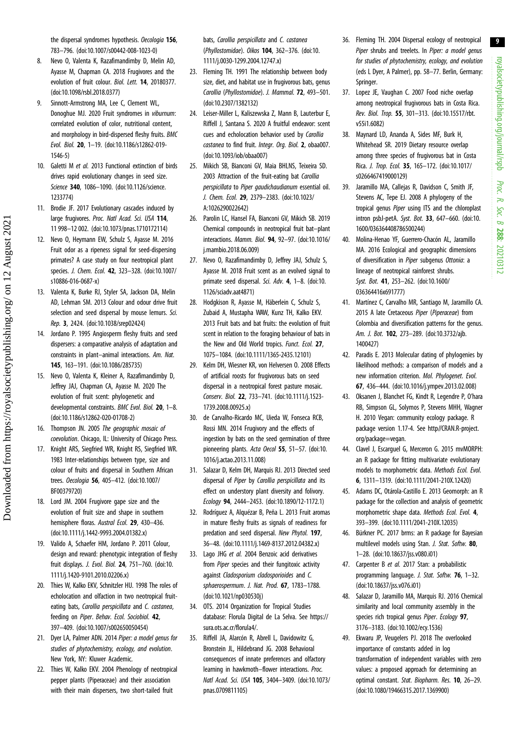<span id="page-8-0"></span>the dispersal syndromes hypothesis. Oecologia 156, 783–796. ([doi:10.1007/s00442-008-1023-0](http://dx.doi.org/10.1007/s00442-008-1023-0))

- 8. Nevo O, Valenta K, Razafimandimby D, Melin AD, Ayasse M, Chapman CA. 2018 Frugivores and the evolution of fruit colour. Biol. Lett. **14**, 20180377. [\(doi:10.1098/rsbl.2018.0377](http://dx.doi.org/10.1098/rsbl.2018.0377))
- 9. Sinnott-Armstrong MA, Lee C, Clement WL, Donoghue MJ. 2020 Fruit syndromes in viburnum: correlated evolution of color, nutritional content, and morphology in bird-dispersed fleshy fruits. BMC Evol. Biol. 20, 1–19. [\(doi:10.1186/s12862-019-](http://dx.doi.org/10.1186/s12862-019-1546-5) [1546-5](http://dx.doi.org/10.1186/s12862-019-1546-5))
- 10. Galetti M et al. 2013 Functional extinction of birds drives rapid evolutionary changes in seed size. Science 340, 1086–1090. ([doi:10.1126/science.](http://dx.doi.org/10.1126/science.1233774) [1233774\)](http://dx.doi.org/10.1126/science.1233774)
- 11. Brodie JF. 2017 Evolutionary cascades induced by large frugivores. Proc. Natl Acad. Sci. USA 114, 11 998–12 002. ([doi:10.1073/pnas.1710172114\)](http://dx.doi.org/10.1073/pnas.1710172114)
- 12. Nevo O, Heymann EW, Schulz S, Ayasse M. 2016 Fruit odor as a ripeness signal for seed-dispersing primates? A case study on four neotropical plant species. J. Chem. Ecol. 42, 323–328. ([doi:10.1007/](http://dx.doi.org/10.1007/s10886-016-0687-x) [s10886-016-0687-x](http://dx.doi.org/10.1007/s10886-016-0687-x))
- 13. Valenta K, Burke RJ, Styler SA, Jackson DA, Melin AD, Lehman SM. 2013 Colour and odour drive fruit selection and seed dispersal by mouse lemurs. Sci. Rep. 3, 2424. [\(doi:10.1038/srep02424](http://dx.doi.org/10.1038/srep02424))
- 14. Jordano P. 1995 Angiosperm fleshy fruits and seed dispersers: a comparative analysis of adaptation and constraints in plant–animal interactions. Am. Nat. 145, 163–191. ([doi:10.1086/285735](http://dx.doi.org/10.1086/285735))
- 15. Nevo O, Valenta K, Kleiner A, Razafimandimby D, Jeffrey JAJ, Chapman CA, Ayasse M. 2020 The evolution of fruit scent: phylogenetic and developmental constraints. BMC Evol. Biol. 20, 1–8. [\(doi:10.1186/s12862-020-01708-2](http://dx.doi.org/10.1186/s12862-020-01708-2))
- 16. Thompson JN. 2005 The geographic mosaic of coevolution. Chicago, IL: University of Chicago Press.
- 17. Knight ARS, Siegfried WR, Knight RS, Siegfried WR. 1983 Inter-relationships between type, size and colour of fruits and dispersal in Southern African trees. Oecologia 56, 405–412. ([doi:10.1007/](http://dx.doi.org/10.1007/BF00379720) [BF00379720\)](http://dx.doi.org/10.1007/BF00379720)
- 18. Lord JM. 2004 Frugivore gape size and the evolution of fruit size and shape in southern hemisphere floras. Austral Ecol. 29, 430-436. [\(doi:10.1111/j.1442-9993.2004.01382.x](http://dx.doi.org/10.1111/j.1442-9993.2004.01382.x))
- 19. Valido A, Schaefer HM, Jordano P. 2011 Colour, design and reward: phenotypic integration of fleshy fruit displays. J. Evol. Biol. 24, 751–760. ([doi:10.](http://dx.doi.org/10.1111/j.1420-9101.2010.02206.x) [1111/j.1420-9101.2010.02206.x](http://dx.doi.org/10.1111/j.1420-9101.2010.02206.x))
- 20. Thies W, Kalko EKV, Schnitzler HU. 1998 The roles of echolocation and olfaction in two neotropical fruiteating bats, Carollia perspicillata and C. castanea, feeding on Piper. Behav. Ecol. Sociobiol. 42, 397–409. ([doi:10.1007/s002650050454](http://dx.doi.org/10.1007/s002650050454))
- 21. Dyer LA, Palmer ADN, 2014 Piper: a model genus for studies of phytochemistry, ecology, and evolution. New York, NY: Kluwer Academic.
- 22. Thies W, Kalko EKV. 2004 Phenology of neotropical pepper plants (Piperaceae) and their association with their main dispersers, two short-tailed fruit

bats, Carollia perspicillata and C. castanea (Phyllostomidae). Oikos 104, 362–376. ([doi:10.](http://dx.doi.org/10.1111/j.0030-1299.2004.12747.x) [1111/j.0030-1299.2004.12747.x](http://dx.doi.org/10.1111/j.0030-1299.2004.12747.x))

- 23. Fleming TH. 1991 The relationship between body size, diet, and habitat use in frugivorous bats, genus Carollia (Phyllostomidae). J. Mammal. 72, 493–501. [\(doi:10.2307/1382132](http://dx.doi.org/10.2307/1382132))
- 24. Leiser-Miller L, Kaliszewska Z, Mann B, Lauterbur E, Riffell J, Santana S. 2020 A fruitful endeavor: scent cues and echolocation behavior used by Carollia castanea to find fruit. Integr. Org. Biol. 2, obaa007. [\(doi:10.1093/iob/obaa007](http://dx.doi.org/10.1093/iob/obaa007))
- 25. Mikich SB, Bianconi GV, Maia BHLNS, Teixeira SD. 2003 Attraction of the fruit-eating bat Carollia perspicillata to Piper gaudichaudianum essential oil. J. Chem. Ecol. 29, 2379–2383. [\(doi:10.1023/](http://dx.doi.org/10.1023/A:1026290022642) [A:1026290022642](http://dx.doi.org/10.1023/A:1026290022642))
- 26. Parolin LC, Hansel FA, Bianconi GV, Mikich SB. 2019 Chemical compounds in neotropical fruit bat–plant interactions. Mamm. Biol. 94, 92–97. [\(doi:10.1016/](http://dx.doi.org/10.1016/j.mambio.2018.06.009) [j.mambio.2018.06.009](http://dx.doi.org/10.1016/j.mambio.2018.06.009))
- 27. Nevo O, Razafimandimby D, Jeffrey JAJ, Schulz S, Ayasse M. 2018 Fruit scent as an evolved signal to primate seed dispersal. Sci. Adv. 4, 1-8. ([doi:10.](http://dx.doi.org/10.1126/sciadv.aat4871) [1126/sciadv.aat4871](http://dx.doi.org/10.1126/sciadv.aat4871))
- 28. Hodgkison R, Ayasse M, Häberlein C, Schulz S, Zubaid A, Mustapha WAW, Kunz TH, Kalko EKV. 2013 Fruit bats and bat fruits: the evolution of fruit scent in relation to the foraging behaviour of bats in the New and Old World tropics. Funct. Ecol. 27, 1075–1084. [\(doi:10.1111/1365-2435.12101\)](http://dx.doi.org/10.1111/1365-2435.12101)
- 29. Kelm DH, Wiesner KR, von Helversen O. 2008 Effects of artificial roosts for frugivorous bats on seed dispersal in a neotropical forest pasture mosaic. Conserv. Biol. 22, 733–741. ([doi:10.1111/j.1523-](http://dx.doi.org/10.1111/j.1523-1739.2008.00925.x) [1739.2008.00925.x\)](http://dx.doi.org/10.1111/j.1523-1739.2008.00925.x)
- 30. de Carvalho-Ricardo MC, Uieda W, Fonseca RCB, Rossi MN. 2014 Frugivory and the effects of ingestion by bats on the seed germination of three pioneering plants. Acta Oecol 55, 51–57. ([doi:10.](http://dx.doi.org/10.1016/j.actao.2013.11.008) [1016/j.actao.2013.11.008](http://dx.doi.org/10.1016/j.actao.2013.11.008))
- 31. Salazar D, Kelm DH, Marquis RJ. 2013 Directed seed dispersal of Piper by Carollia perspicillata and its effect on understory plant diversity and folivory. Ecology 94, 2444–2453. ([doi:10.1890/12-1172.1\)](http://dx.doi.org/10.1890/12-1172.1)
- 32. Rodríguez A, Alquézar B, Peña L. 2013 Fruit aromas in mature fleshy fruits as signals of readiness for predation and seed dispersal. New Phytol. 197. 36–48. ([doi:10.1111/j.1469-8137.2012.04382.x\)](http://dx.doi.org/10.1111/j.1469-8137.2012.04382.x)
- 33. Lago JHG et al. 2004 Benzoic acid derivatives from *Piper* species and their fungitoxic activity against Cladosporium cladosporioides and C. sphaerospermum. J. Nat. Prod. 67, 1783-1788. [\(doi:10.1021/np030530j](http://dx.doi.org/10.1021/np030530j))
- 34. OTS. 2014 Organization for Tropical Studies database: Florula Digital de La Selva. See [https://](https://sura.ots.ac.cr/florula4/) [sura.ots.ac.cr/florula4/.](https://sura.ots.ac.cr/florula4/)
- 35. Riffell JA, Alarcón R, Abrell L, Davidowitz G, Bronstein JL, Hildebrand JG. 2008 Behavioral consequences of innate preferences and olfactory learning in hawkmoth-flower interactions. Proc. Natl Acad. Sci. USA 105, 3404–3409. [\(doi:10.1073/](http://dx.doi.org/10.1073/pnas.0709811105) [pnas.0709811105](http://dx.doi.org/10.1073/pnas.0709811105))
- 36. Fleming TH. 2004 Dispersal ecology of neotropical Piper shrubs and treelets. In Piper: a model genus for studies of phytochemistry, ecology, and evolution (eds L Dyer, A Palmer), pp. 58–77. Berlin, Germany: Springer.
- 37. Lopez JE, Vaughan C. 2007 Food niche overlap among neotropical frugivorous bats in Costa Rica. Rev. Biol. Trop. 55, 301–313. ([doi:10.15517/rbt.](http://dx.doi.org/10.15517/rbt.v55i1.6082) [v55i1.6082\)](http://dx.doi.org/10.15517/rbt.v55i1.6082)
- 38. Maynard LD, Ananda A, Sides MF, Burk H, Whitehead SR. 2019 Dietary resource overlap among three species of frugivorous bat in Costa Rica. J. Trop. Ecol. 35, 165–172. ([doi:10.1017/](http://dx.doi.org/10.1017/s0266467419000129) [s0266467419000129](http://dx.doi.org/10.1017/s0266467419000129))
- 39. Jaramillo MA, Callejas R, Davidson C, Smith JF, Stevens AC, Tepe EJ. 2008 A phylogeny of the tropical genus Piper using ITS and the chloroplast intron psbJ-petA. Syst. Bot. 33, 647–660. ([doi:10.](http://dx.doi.org/10.1600/036364408786500244) [1600/036364408786500244](http://dx.doi.org/10.1600/036364408786500244))
- 40. Molina-Henao YF, Guerrero-Chacón AL, Jaramillo MA. 2016 Ecological and geographic dimensions of diversification in Piper subgenus Ottonia: a lineage of neotropical rainforest shrubs. Syst. Bot. 41, 253–262. [\(doi:10.1600/](http://dx.doi.org/10.1600/036364416x691777) [036364416x691777](http://dx.doi.org/10.1600/036364416x691777))
- 41. Martínez C, Carvalho MR, Santiago M, Jaramillo CA. 2015 A late Cretaceous Piper (Piperaceae) from Colombia and diversification patterns for the genus. Am. J. Bot. 102, 273-289. (doi:10.3732/aib. [1400427](http://dx.doi.org/10.3732/ajb.1400427))
- 42. Paradis E. 2013 Molecular dating of phylogenies by likelihood methods: a comparison of models and a new information criterion. Mol. Phylogenet. Evol. 67, 436–444. ([doi:10.1016/j.ympev.2013.02.008](http://dx.doi.org/10.1016/j.ympev.2013.02.008))
- 43. Oksanen J, Blanchet FG, Kindt R, Legendre P, O'hara RB, Simpson GL, Solymos P, Stevens MHH, Wagner H. 2010 Vegan: community ecology package. R package version 1.17-4. See [http//CRAN.R-project.](http//CRAN.R-project.org/package=vegan) [org/package=vegan](http//CRAN.R-project.org/package=vegan).
- 44. Clavel J, Escarguel G, Merceron G. 2015 mvMORPH: an R package for fitting multivariate evolutionary models to morphometric data. Methods Ecol. Evol. 6, 1311–1319. ([doi:10.1111/2041-210X.12420](http://dx.doi.org/10.1111/2041-210X.12420))
- 45. Adams DC, Otárola-Castillo E. 2013 Geomorph: an R package for the collection and analysis of geometric morphometric shape data. Methods Ecol. Evol. 4, 393–399. [\(doi:10.1111/2041-210X.12035](http://dx.doi.org/10.1111/2041-210X.12035))
- 46. Bürkner PC. 2017 brms: an R package for Bayesian multilevel models using Stan. J. Stat. Softw. 80, 1–28. [\(doi:10.18637/jss.v080.i01\)](http://dx.doi.org/10.18637/jss.v080.i01)
- 47. Carpenter B et al. 2017 Stan: a probabilistic programming language. J. Stat. Softw. 76, 1–32. ([doi:10.18637/jss.v076.i01\)](http://dx.doi.org/10.18637/jss.v076.i01)
- 48. Salazar D, Jaramillo MA, Marquis RJ. 2016 Chemical similarity and local community assembly in the species rich tropical genus Piper. Ecology 97, 3176–3183. [\(doi:10.1002/ecy.1536\)](http://dx.doi.org/10.1002/ecy.1536)
- 49. Ekwaru JP, Veugelers PJ. 2018 The overlooked importance of constants added in log transformation of independent variables with zero values: a proposed approach for determining an optimal constant. Stat. Biopharm. Res. 10, 26–29. ([doi:10.1080/19466315.2017.1369900](http://dx.doi.org/10.1080/19466315.2017.1369900))